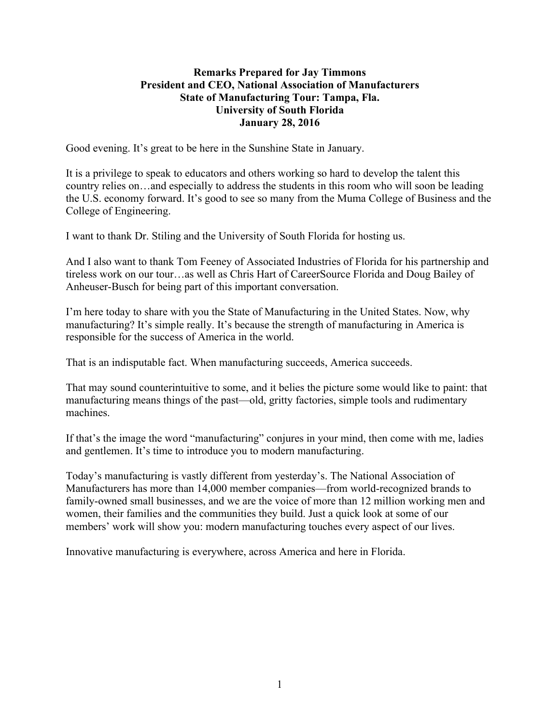## **Remarks Prepared for Jay Timmons President and CEO, National Association of Manufacturers State of Manufacturing Tour: Tampa, Fla. University of South Florida January 28, 2016**

Good evening. It's great to be here in the Sunshine State in January.

It is a privilege to speak to educators and others working so hard to develop the talent this country relies on…and especially to address the students in this room who will soon be leading the U.S. economy forward. It's good to see so many from the Muma College of Business and the College of Engineering.

I want to thank Dr. Stiling and the University of South Florida for hosting us.

And I also want to thank Tom Feeney of Associated Industries of Florida for his partnership and tireless work on our tour…as well as Chris Hart of CareerSource Florida and Doug Bailey of Anheuser-Busch for being part of this important conversation.

I'm here today to share with you the State of Manufacturing in the United States. Now, why manufacturing? It's simple really. It's because the strength of manufacturing in America is responsible for the success of America in the world.

That is an indisputable fact. When manufacturing succeeds, America succeeds.

That may sound counterintuitive to some, and it belies the picture some would like to paint: that manufacturing means things of the past—old, gritty factories, simple tools and rudimentary machines.

If that's the image the word "manufacturing" conjures in your mind, then come with me, ladies and gentlemen. It's time to introduce you to modern manufacturing.

Today's manufacturing is vastly different from yesterday's. The National Association of Manufacturers has more than 14,000 member companies—from world-recognized brands to family-owned small businesses, and we are the voice of more than 12 million working men and women, their families and the communities they build. Just a quick look at some of our members' work will show you: modern manufacturing touches every aspect of our lives.

Innovative manufacturing is everywhere, across America and here in Florida.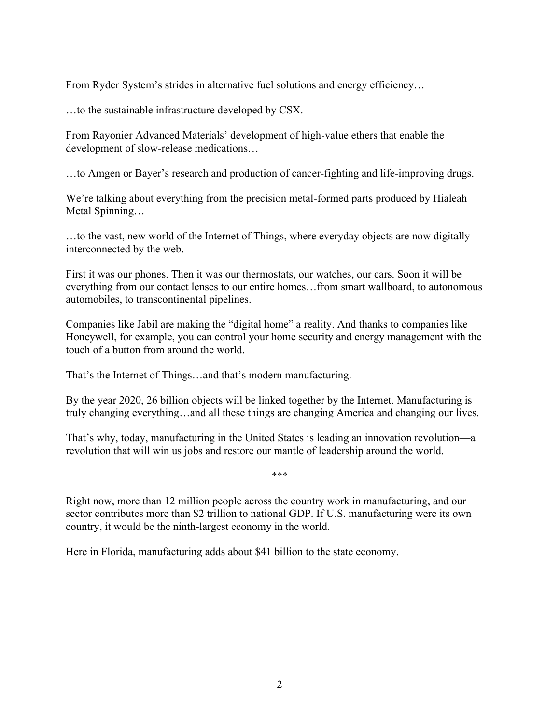From Ryder System's strides in alternative fuel solutions and energy efficiency...

…to the sustainable infrastructure developed by CSX.

From Rayonier Advanced Materials' development of high-value ethers that enable the development of slow-release medications…

…to Amgen or Bayer's research and production of cancer-fighting and life-improving drugs.

We're talking about everything from the precision metal-formed parts produced by Hialeah Metal Spinning…

…to the vast, new world of the Internet of Things, where everyday objects are now digitally interconnected by the web.

First it was our phones. Then it was our thermostats, our watches, our cars. Soon it will be everything from our contact lenses to our entire homes…from smart wallboard, to autonomous automobiles, to transcontinental pipelines.

Companies like Jabil are making the "digital home" a reality. And thanks to companies like Honeywell, for example, you can control your home security and energy management with the touch of a button from around the world.

That's the Internet of Things…and that's modern manufacturing.

By the year 2020, 26 billion objects will be linked together by the Internet. Manufacturing is truly changing everything…and all these things are changing America and changing our lives.

That's why, today, manufacturing in the United States is leading an innovation revolution—a revolution that will win us jobs and restore our mantle of leadership around the world.

\*\*\*

Right now, more than 12 million people across the country work in manufacturing, and our sector contributes more than \$2 trillion to national GDP. If U.S. manufacturing were its own country, it would be the ninth-largest economy in the world.

Here in Florida, manufacturing adds about \$41 billion to the state economy.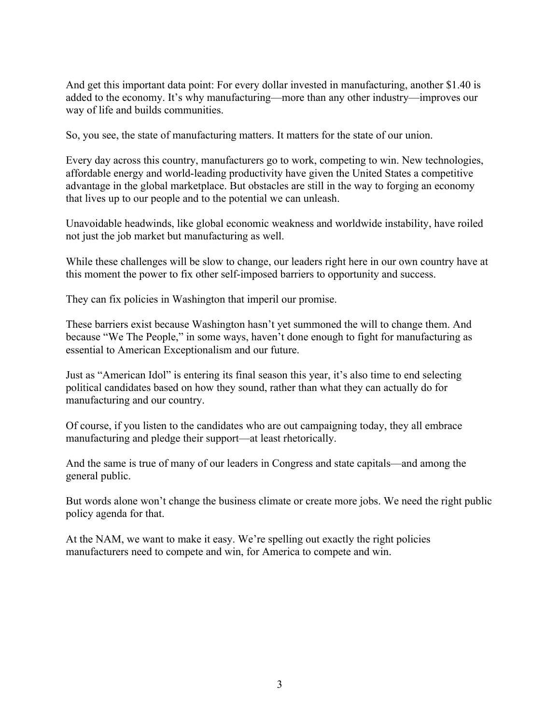And get this important data point: For every dollar invested in manufacturing, another \$1.40 is added to the economy. It's why manufacturing—more than any other industry—improves our way of life and builds communities.

So, you see, the state of manufacturing matters. It matters for the state of our union.

Every day across this country, manufacturers go to work, competing to win. New technologies, affordable energy and world-leading productivity have given the United States a competitive advantage in the global marketplace. But obstacles are still in the way to forging an economy that lives up to our people and to the potential we can unleash.

Unavoidable headwinds, like global economic weakness and worldwide instability, have roiled not just the job market but manufacturing as well.

While these challenges will be slow to change, our leaders right here in our own country have at this moment the power to fix other self-imposed barriers to opportunity and success.

They can fix policies in Washington that imperil our promise.

These barriers exist because Washington hasn't yet summoned the will to change them. And because "We The People," in some ways, haven't done enough to fight for manufacturing as essential to American Exceptionalism and our future.

Just as "American Idol" is entering its final season this year, it's also time to end selecting political candidates based on how they sound, rather than what they can actually do for manufacturing and our country.

Of course, if you listen to the candidates who are out campaigning today, they all embrace manufacturing and pledge their support—at least rhetorically.

And the same is true of many of our leaders in Congress and state capitals—and among the general public.

But words alone won't change the business climate or create more jobs. We need the right public policy agenda for that.

At the NAM, we want to make it easy. We're spelling out exactly the right policies manufacturers need to compete and win, for America to compete and win.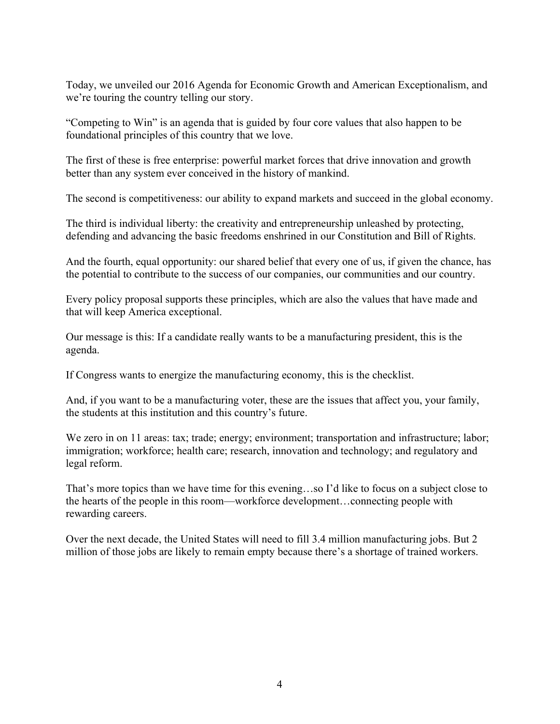Today, we unveiled our 2016 Agenda for Economic Growth and American Exceptionalism, and we're touring the country telling our story.

"Competing to Win" is an agenda that is guided by four core values that also happen to be foundational principles of this country that we love.

The first of these is free enterprise: powerful market forces that drive innovation and growth better than any system ever conceived in the history of mankind.

The second is competitiveness: our ability to expand markets and succeed in the global economy.

The third is individual liberty: the creativity and entrepreneurship unleashed by protecting, defending and advancing the basic freedoms enshrined in our Constitution and Bill of Rights.

And the fourth, equal opportunity: our shared belief that every one of us, if given the chance, has the potential to contribute to the success of our companies, our communities and our country.

Every policy proposal supports these principles, which are also the values that have made and that will keep America exceptional.

Our message is this: If a candidate really wants to be a manufacturing president, this is the agenda.

If Congress wants to energize the manufacturing economy, this is the checklist.

And, if you want to be a manufacturing voter, these are the issues that affect you, your family, the students at this institution and this country's future.

We zero in on 11 areas: tax; trade; energy; environment; transportation and infrastructure; labor; immigration; workforce; health care; research, innovation and technology; and regulatory and legal reform.

That's more topics than we have time for this evening…so I'd like to focus on a subject close to the hearts of the people in this room—workforce development…connecting people with rewarding careers.

Over the next decade, the United States will need to fill 3.4 million manufacturing jobs. But 2 million of those jobs are likely to remain empty because there's a shortage of trained workers.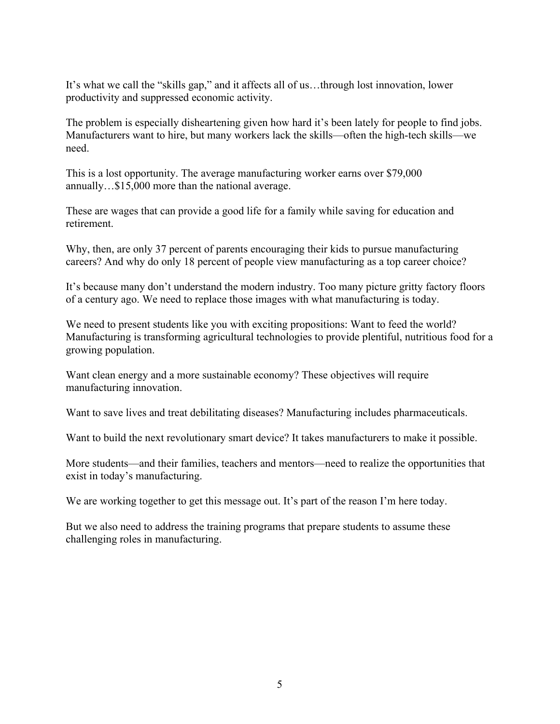It's what we call the "skills gap," and it affects all of us…through lost innovation, lower productivity and suppressed economic activity.

The problem is especially disheartening given how hard it's been lately for people to find jobs. Manufacturers want to hire, but many workers lack the skills—often the high-tech skills—we need.

This is a lost opportunity. The average manufacturing worker earns over \$79,000 annually…\$15,000 more than the national average.

These are wages that can provide a good life for a family while saving for education and retirement.

Why, then, are only 37 percent of parents encouraging their kids to pursue manufacturing careers? And why do only 18 percent of people view manufacturing as a top career choice?

It's because many don't understand the modern industry. Too many picture gritty factory floors of a century ago. We need to replace those images with what manufacturing is today.

We need to present students like you with exciting propositions: Want to feed the world? Manufacturing is transforming agricultural technologies to provide plentiful, nutritious food for a growing population.

Want clean energy and a more sustainable economy? These objectives will require manufacturing innovation.

Want to save lives and treat debilitating diseases? Manufacturing includes pharmaceuticals.

Want to build the next revolutionary smart device? It takes manufacturers to make it possible.

More students—and their families, teachers and mentors—need to realize the opportunities that exist in today's manufacturing.

We are working together to get this message out. It's part of the reason I'm here today.

But we also need to address the training programs that prepare students to assume these challenging roles in manufacturing.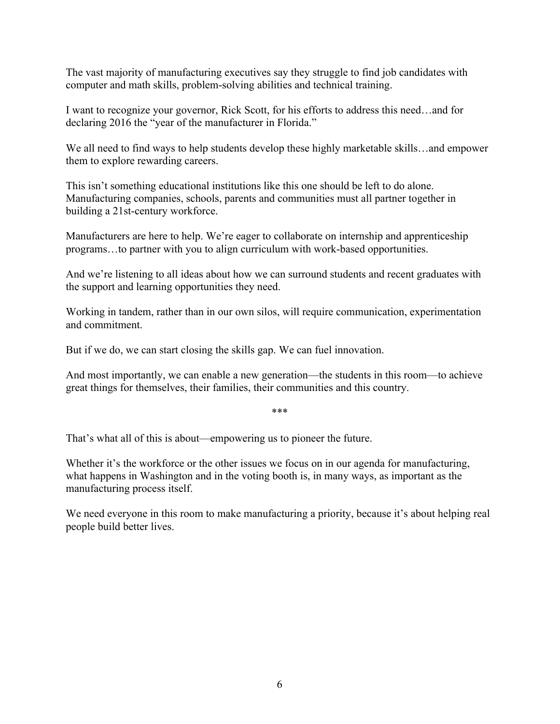The vast majority of manufacturing executives say they struggle to find job candidates with computer and math skills, problem-solving abilities and technical training.

I want to recognize your governor, Rick Scott, for his efforts to address this need…and for declaring 2016 the "year of the manufacturer in Florida."

We all need to find ways to help students develop these highly marketable skills...and empower them to explore rewarding careers.

This isn't something educational institutions like this one should be left to do alone. Manufacturing companies, schools, parents and communities must all partner together in building a 21st-century workforce.

Manufacturers are here to help. We're eager to collaborate on internship and apprenticeship programs…to partner with you to align curriculum with work-based opportunities.

And we're listening to all ideas about how we can surround students and recent graduates with the support and learning opportunities they need.

Working in tandem, rather than in our own silos, will require communication, experimentation and commitment.

But if we do, we can start closing the skills gap. We can fuel innovation.

And most importantly, we can enable a new generation—the students in this room—to achieve great things for themselves, their families, their communities and this country.

\*\*\*

That's what all of this is about—empowering us to pioneer the future.

Whether it's the workforce or the other issues we focus on in our agenda for manufacturing, what happens in Washington and in the voting booth is, in many ways, as important as the manufacturing process itself.

We need everyone in this room to make manufacturing a priority, because it's about helping real people build better lives.